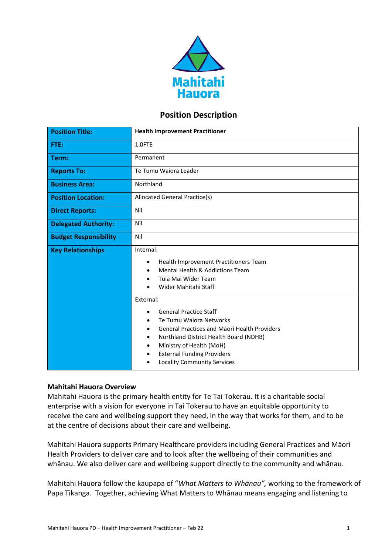

## **Position Description**

| <b>Position Title:</b>       | <b>Health Improvement Practitioner</b>                                                                                                                                                                                                                                                               |  |
|------------------------------|------------------------------------------------------------------------------------------------------------------------------------------------------------------------------------------------------------------------------------------------------------------------------------------------------|--|
| FTE:                         | 1.0FTE                                                                                                                                                                                                                                                                                               |  |
| Term:                        | Permanent                                                                                                                                                                                                                                                                                            |  |
| <b>Reports To:</b>           | Te Tumu Waiora Leader                                                                                                                                                                                                                                                                                |  |
| <b>Business Area:</b>        | Northland                                                                                                                                                                                                                                                                                            |  |
| <b>Position Location:</b>    | Allocated General Practice(s)                                                                                                                                                                                                                                                                        |  |
| <b>Direct Reports:</b>       | Nil                                                                                                                                                                                                                                                                                                  |  |
| <b>Delegated Authority:</b>  | Nil                                                                                                                                                                                                                                                                                                  |  |
| <b>Budget Responsibility</b> | Nil                                                                                                                                                                                                                                                                                                  |  |
| <b>Key Relationships</b>     | Internal:<br>Health Improvement Practitioners Team<br>٠<br>Mental Health & Addictions Team<br>Tuia Mai Wider Team<br>Wider Mahitahi Staff                                                                                                                                                            |  |
|                              | External:<br><b>General Practice Staff</b><br>$\bullet$<br>Te Tumu Waiora Networks<br>٠<br><b>General Practices and Maori Health Providers</b><br>Northland District Health Board (NDHB)<br>Ministry of Health (MoH)<br><b>External Funding Providers</b><br><b>Locality Community Services</b><br>٠ |  |

## **Mahitahi Hauora Overview**

Mahitahi Hauora is the primary health entity for Te Tai Tokerau. It is a charitable social enterprise with a vision for everyone in Tai Tokerau to have an equitable opportunity to receive the care and wellbeing support they need, in the way that works for them, and to be at the centre of decisions about their care and wellbeing.

Mahitahi Hauora supports Primary Healthcare providers including General Practices and Māori Health Providers to deliver care and to look after the wellbeing of their communities and whānau. We also deliver care and wellbeing support directly to the community and whānau.

Mahitahi Hauora follow the kaupapa of "*What Matters to Whānau",* working to the framework of Papa Tikanga. Together, achieving What Matters to Whānau means engaging and listening to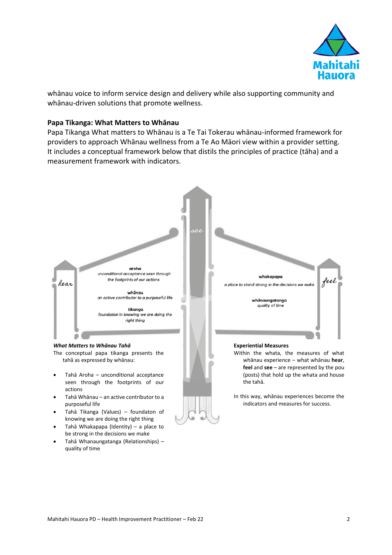

whānau voice to inform service design and delivery while also supporting community and whānau-driven solutions that promote wellness.

### **Papa Tikanga: What Matters to Whānau**

Papa Tikanga What matters to Whānau is a Te Tai Tokerau whānau-informed framework for providers to approach Whānau wellness from a Te Ao Māori view within a provider setting. It includes a conceptual framework below that distils the principles of practice (tāha) and a measurement framework with indicators.



- Tahā Whakapapa (Identity) a place to be strong in the decisions we make
- Tahā Whanaungatanga (Relationships) quality of time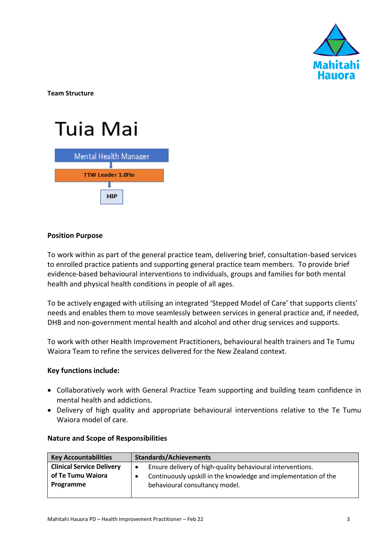

**Team Structure**

# Tuia Mai



## **Position Purpose**

To work within as part of the general practice team, delivering brief, consultation-based services to enrolled practice patients and supporting general practice team members. To provide brief evidence-based behavioural interventions to individuals, groups and families for both mental health and physical health conditions in people of all ages.

To be actively engaged with utilising an integrated 'Stepped Model of Care' that supports clients' needs and enables them to move seamlessly between services in general practice and, if needed, DHB and non-government mental health and alcohol and other drug services and supports.

To work with other Health Improvement Practitioners, behavioural health trainers and Te Tumu Waiora Team to refine the services delivered for the New Zealand context.

## **Key functions include:**

- Collaboratively work with General Practice Team supporting and building team confidence in mental health and addictions.
- Delivery of high quality and appropriate behavioural interventions relative to the Te Tumu Waiora model of care.

| <b>Key Accountabilities</b>      | <b>Standards/Achievements</b>                                           |  |
|----------------------------------|-------------------------------------------------------------------------|--|
| <b>Clinical Service Delivery</b> | Ensure delivery of high-quality behavioural interventions.<br>$\bullet$ |  |
| of Te Tumu Waiora                | Continuously upskill in the knowledge and implementation of the         |  |
| Programme                        | behavioural consultancy model.                                          |  |
|                                  |                                                                         |  |

## **Nature and Scope of Responsibilities**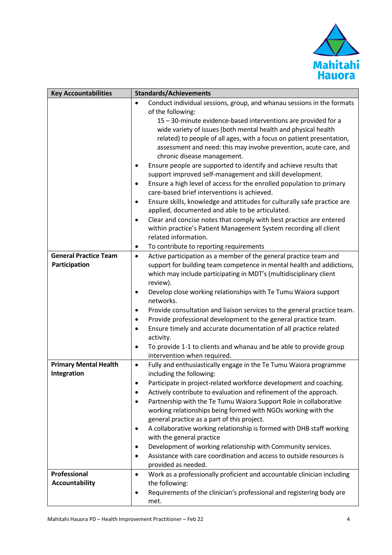

| <b>Key Accountabilities</b>  | <b>Standards/Achievements</b>                                                                                                           |  |  |
|------------------------------|-----------------------------------------------------------------------------------------------------------------------------------------|--|--|
|                              | Conduct individual sessions, group, and whanau sessions in the formats<br>$\bullet$                                                     |  |  |
|                              | of the following:                                                                                                                       |  |  |
|                              | 15 - 30-minute evidence-based interventions are provided for a                                                                          |  |  |
|                              | wide variety of issues (both mental health and physical health                                                                          |  |  |
|                              | related) to people of all ages, with a focus on patient presentation,                                                                   |  |  |
|                              | assessment and need: this may involve prevention, acute care, and                                                                       |  |  |
|                              | chronic disease management.                                                                                                             |  |  |
|                              | Ensure people are supported to identify and achieve results that<br>$\bullet$                                                           |  |  |
|                              | support improved self-management and skill development.                                                                                 |  |  |
|                              | Ensure a high level of access for the enrolled population to primary<br>٠                                                               |  |  |
|                              | care-based brief interventions is achieved.                                                                                             |  |  |
|                              | Ensure skills, knowledge and attitudes for culturally safe practice are<br>$\bullet$                                                    |  |  |
|                              | applied, documented and able to be articulated.                                                                                         |  |  |
|                              | Clear and concise notes that comply with best practice are entered<br>$\bullet$                                                         |  |  |
|                              | within practice's Patient Management System recording all client                                                                        |  |  |
|                              | related information.                                                                                                                    |  |  |
|                              | To contribute to reporting requirements<br>٠                                                                                            |  |  |
| <b>General Practice Team</b> | Active participation as a member of the general practice team and<br>$\bullet$                                                          |  |  |
| Participation                | support for building team competence in mental health and addictions,                                                                   |  |  |
|                              | which may include participating in MDT's (multidisciplinary client                                                                      |  |  |
|                              | review).                                                                                                                                |  |  |
|                              | Develop close working relationships with Te Tumu Waiora support<br>$\bullet$                                                            |  |  |
|                              | networks.                                                                                                                               |  |  |
|                              | Provide consultation and liaison services to the general practice team.<br>٠                                                            |  |  |
|                              | Provide professional development to the general practice team.<br>٠                                                                     |  |  |
|                              | Ensure timely and accurate documentation of all practice related<br>$\bullet$                                                           |  |  |
|                              | activity.                                                                                                                               |  |  |
|                              | To provide 1-1 to clients and whanau and be able to provide group<br>$\bullet$                                                          |  |  |
| <b>Primary Mental Health</b> | intervention when required.<br>$\bullet$                                                                                                |  |  |
| Integration                  | Fully and enthusiastically engage in the Te Tumu Waiora programme<br>including the following:                                           |  |  |
|                              |                                                                                                                                         |  |  |
|                              | Participate in project-related workforce development and coaching.<br>Actively contribute to evaluation and refinement of the approach. |  |  |
|                              | ٠<br>Partnership with the Te Tumu Waiora Support Role in collaborative                                                                  |  |  |
|                              | working relationships being formed with NGOs working with the                                                                           |  |  |
|                              | general practice as a part of this project.                                                                                             |  |  |
|                              | A collaborative working relationship is formed with DHB staff working<br>٠                                                              |  |  |
|                              | with the general practice                                                                                                               |  |  |
|                              | Development of working relationship with Community services.<br>$\bullet$                                                               |  |  |
|                              | Assistance with care coordination and access to outside resources is<br>$\bullet$                                                       |  |  |
|                              | provided as needed.                                                                                                                     |  |  |
| Professional                 | Work as a professionally proficient and accountable clinician including<br>$\bullet$                                                    |  |  |
| <b>Accountability</b>        | the following:                                                                                                                          |  |  |
|                              | Requirements of the clinician's professional and registering body are                                                                   |  |  |
|                              | met.                                                                                                                                    |  |  |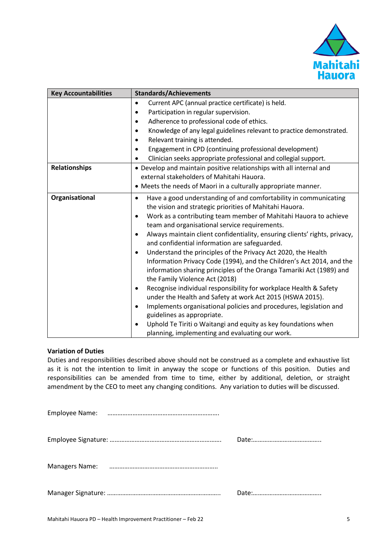

| <b>Key Accountabilities</b> | <b>Standards/Achievements</b>                                                                                                                                                                                                                                                                                                                                                                                                                                                                                                                                                                                                                                                                                                                                                                                                                                                                                                                                                                                                                                                |  |  |
|-----------------------------|------------------------------------------------------------------------------------------------------------------------------------------------------------------------------------------------------------------------------------------------------------------------------------------------------------------------------------------------------------------------------------------------------------------------------------------------------------------------------------------------------------------------------------------------------------------------------------------------------------------------------------------------------------------------------------------------------------------------------------------------------------------------------------------------------------------------------------------------------------------------------------------------------------------------------------------------------------------------------------------------------------------------------------------------------------------------------|--|--|
|                             | Current APC (annual practice certificate) is held.<br>$\bullet$<br>Participation in regular supervision.<br>$\bullet$<br>Adherence to professional code of ethics.<br>٠                                                                                                                                                                                                                                                                                                                                                                                                                                                                                                                                                                                                                                                                                                                                                                                                                                                                                                      |  |  |
|                             |                                                                                                                                                                                                                                                                                                                                                                                                                                                                                                                                                                                                                                                                                                                                                                                                                                                                                                                                                                                                                                                                              |  |  |
|                             |                                                                                                                                                                                                                                                                                                                                                                                                                                                                                                                                                                                                                                                                                                                                                                                                                                                                                                                                                                                                                                                                              |  |  |
|                             | Knowledge of any legal guidelines relevant to practice demonstrated.<br>$\bullet$                                                                                                                                                                                                                                                                                                                                                                                                                                                                                                                                                                                                                                                                                                                                                                                                                                                                                                                                                                                            |  |  |
|                             | Relevant training is attended.                                                                                                                                                                                                                                                                                                                                                                                                                                                                                                                                                                                                                                                                                                                                                                                                                                                                                                                                                                                                                                               |  |  |
|                             | Engagement in CPD (continuing professional development)                                                                                                                                                                                                                                                                                                                                                                                                                                                                                                                                                                                                                                                                                                                                                                                                                                                                                                                                                                                                                      |  |  |
|                             | Clinician seeks appropriate professional and collegial support.                                                                                                                                                                                                                                                                                                                                                                                                                                                                                                                                                                                                                                                                                                                                                                                                                                                                                                                                                                                                              |  |  |
| <b>Relationships</b>        | • Develop and maintain positive relationships with all internal and                                                                                                                                                                                                                                                                                                                                                                                                                                                                                                                                                                                                                                                                                                                                                                                                                                                                                                                                                                                                          |  |  |
|                             | external stakeholders of Mahitahi Hauora.                                                                                                                                                                                                                                                                                                                                                                                                                                                                                                                                                                                                                                                                                                                                                                                                                                                                                                                                                                                                                                    |  |  |
|                             | • Meets the needs of Maori in a culturally appropriate manner.                                                                                                                                                                                                                                                                                                                                                                                                                                                                                                                                                                                                                                                                                                                                                                                                                                                                                                                                                                                                               |  |  |
| Organisational              | Have a good understanding of and comfortability in communicating<br>$\bullet$<br>the vision and strategic priorities of Mahitahi Hauora.<br>Work as a contributing team member of Mahitahi Hauora to achieve<br>$\bullet$<br>team and organisational service requirements.<br>Always maintain client confidentiality, ensuring clients' rights, privacy,<br>$\bullet$<br>and confidential information are safeguarded.<br>Understand the principles of the Privacy Act 2020, the Health<br>$\bullet$<br>Information Privacy Code (1994), and the Children's Act 2014, and the<br>information sharing principles of the Oranga Tamariki Act (1989) and<br>the Family Violence Act (2018)<br>Recognise individual responsibility for workplace Health & Safety<br>$\bullet$<br>under the Health and Safety at work Act 2015 (HSWA 2015).<br>Implements organisational policies and procedures, legislation and<br>$\bullet$<br>guidelines as appropriate.<br>Uphold Te Tiriti o Waitangi and equity as key foundations when<br>planning, implementing and evaluating our work. |  |  |

#### **Variation of Duties**

Duties and responsibilities described above should not be construed as a complete and exhaustive list as it is not the intention to limit in anyway the scope or functions of this position. Duties and responsibilities can be amended from time to time, either by additional, deletion, or straight amendment by the CEO to meet any changing conditions. Any variation to duties will be discussed.

| <b>Managers Name:</b> |  |
|-----------------------|--|
|                       |  |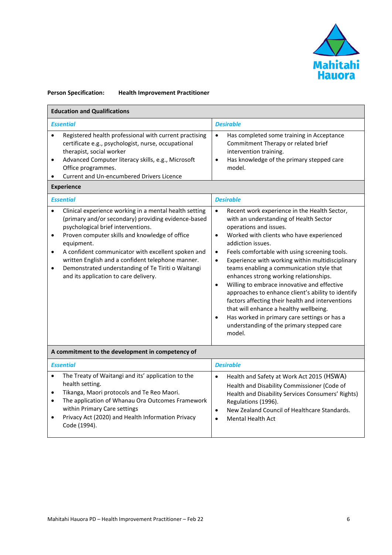

#### **Person Specification: Health Improvement Practitioner**

| <b>Education and Qualifications</b>                                                                                                                                                                                                                                                                                                                                                                                                                                               |                                                                                                                                                                                                                                                                                                                                                                                                                                                                                                                                                                                                                                                                                                                                                                       |  |  |  |
|-----------------------------------------------------------------------------------------------------------------------------------------------------------------------------------------------------------------------------------------------------------------------------------------------------------------------------------------------------------------------------------------------------------------------------------------------------------------------------------|-----------------------------------------------------------------------------------------------------------------------------------------------------------------------------------------------------------------------------------------------------------------------------------------------------------------------------------------------------------------------------------------------------------------------------------------------------------------------------------------------------------------------------------------------------------------------------------------------------------------------------------------------------------------------------------------------------------------------------------------------------------------------|--|--|--|
| <b>Essential</b>                                                                                                                                                                                                                                                                                                                                                                                                                                                                  | <b>Desirable</b>                                                                                                                                                                                                                                                                                                                                                                                                                                                                                                                                                                                                                                                                                                                                                      |  |  |  |
| Registered health professional with current practising<br>$\bullet$<br>certificate e.g., psychologist, nurse, occupational<br>therapist, social worker<br>Advanced Computer literacy skills, e.g., Microsoft<br>$\bullet$<br>Office programmes.<br><b>Current and Un-encumbered Drivers Licence</b><br>$\bullet$<br><b>Experience</b>                                                                                                                                             | $\bullet$<br>Has completed some training in Acceptance<br>Commitment Therapy or related brief<br>intervention training.<br>Has knowledge of the primary stepped care<br>$\bullet$<br>model.                                                                                                                                                                                                                                                                                                                                                                                                                                                                                                                                                                           |  |  |  |
| <b>Essential</b>                                                                                                                                                                                                                                                                                                                                                                                                                                                                  | <b>Desirable</b>                                                                                                                                                                                                                                                                                                                                                                                                                                                                                                                                                                                                                                                                                                                                                      |  |  |  |
| Clinical experience working in a mental health setting<br>$\bullet$<br>(primary and/or secondary) providing evidence-based<br>psychological brief interventions.<br>Proven computer skills and knowledge of office<br>$\bullet$<br>equipment.<br>A confident communicator with excellent spoken and<br>$\bullet$<br>written English and a confident telephone manner.<br>Demonstrated understanding of Te Tiriti o Waitangi<br>$\bullet$<br>and its application to care delivery. | Recent work experience in the Health Sector,<br>$\bullet$<br>with an understanding of Health Sector<br>operations and issues.<br>Worked with clients who have experienced<br>$\bullet$<br>addiction issues.<br>Feels comfortable with using screening tools.<br>$\bullet$<br>Experience with working within multidisciplinary<br>$\bullet$<br>teams enabling a communication style that<br>enhances strong working relationships.<br>Willing to embrace innovative and effective<br>$\bullet$<br>approaches to enhance client's ability to identify<br>factors affecting their health and interventions<br>that will enhance a healthy wellbeing.<br>Has worked in primary care settings or has a<br>$\bullet$<br>understanding of the primary stepped care<br>model. |  |  |  |
| A commitment to the development in competency of                                                                                                                                                                                                                                                                                                                                                                                                                                  |                                                                                                                                                                                                                                                                                                                                                                                                                                                                                                                                                                                                                                                                                                                                                                       |  |  |  |
| <b>Essential</b>                                                                                                                                                                                                                                                                                                                                                                                                                                                                  | <b>Desirable</b>                                                                                                                                                                                                                                                                                                                                                                                                                                                                                                                                                                                                                                                                                                                                                      |  |  |  |
| The Treaty of Waitangi and its' application to the<br>$\bullet$<br>health setting.<br>Tikanga, Maori protocols and Te Reo Maori.<br>$\bullet$<br>The application of Whanau Ora Outcomes Framework<br>$\bullet$<br>within Primary Care settings                                                                                                                                                                                                                                    | Health and Safety at Work Act 2015 (HSWA)<br>$\bullet$<br>Health and Disability Commissioner (Code of<br>Health and Disability Services Consumers' Rights)<br>Regulations (1996).<br>New Zealand Council of Healthcare Standards.<br>$\bullet$                                                                                                                                                                                                                                                                                                                                                                                                                                                                                                                        |  |  |  |

• Privacy Act (2020) and Health Information Privacy Code (1994). • Mental Health Act